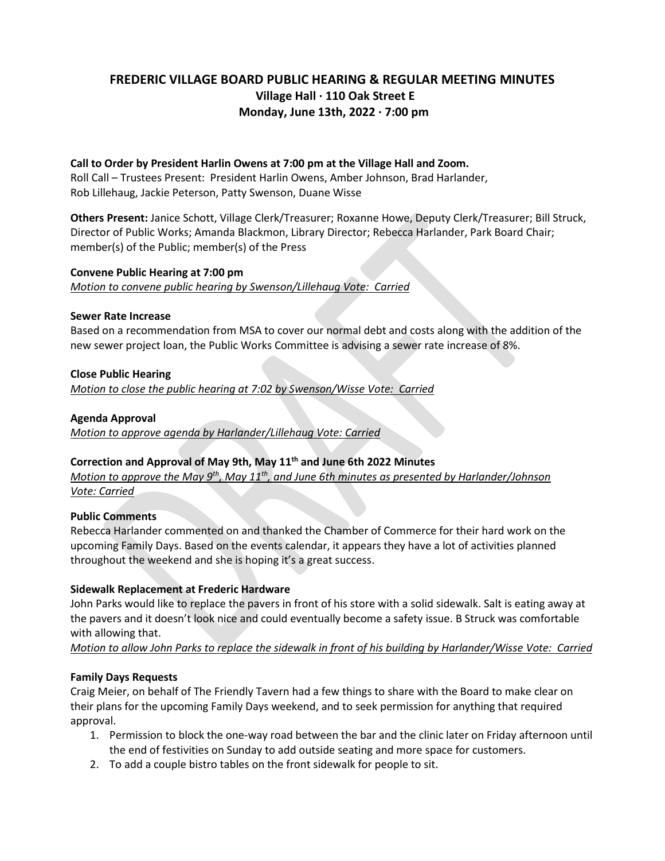# **FREDERIC VILLAGE BOARD PUBLIC HEARING & REGULAR MEETING MINUTES Village Hall ∙ 110 Oak Street E Monday, June 13th, 2022 ∙ 7:00 pm**

#### **Call to Order by President Harlin Owens at 7:00 pm at the Village Hall and Zoom.**

Roll Call – Trustees Present: President Harlin Owens, Amber Johnson, Brad Harlander, Rob Lillehaug, Jackie Peterson, Patty Swenson, Duane Wisse

**Others Present:** Janice Schott, Village Clerk/Treasurer; Roxanne Howe, Deputy Clerk/Treasurer; Bill Struck, Director of Public Works; Amanda Blackmon, Library Director; Rebecca Harlander, Park Board Chair; member(s) of the Public; member(s) of the Press

## **Convene Public Hearing at 7:00 pm**

*Motion to convene public hearing by Swenson/Lillehaug Vote: Carried*

#### **Sewer Rate Increase**

Based on a recommendation from MSA to cover our normal debt and costs along with the addition of the new sewer project loan, the Public Works Committee is advising a sewer rate increase of 8%.

## **Close Public Hearing**

*Motion to close the public hearing at 7:02 by Swenson/Wisse Vote: Carried*

## **Agenda Approval**

*Motion to approve agenda by Harlander/Lillehaug Vote: Carried*

#### **Correction and Approval of May 9th, May 11th and June 6th 2022 Minutes**

*Motion to approve the May 9th, May 11th, and June 6th minutes as presented by Harlander/Johnson Vote: Carried*

#### **Public Comments**

Rebecca Harlander commented on and thanked the Chamber of Commerce for their hard work on the upcoming Family Days. Based on the events calendar, it appears they have a lot of activities planned throughout the weekend and she is hoping it's a great success.

#### **Sidewalk Replacement at Frederic Hardware**

John Parks would like to replace the pavers in front of his store with a solid sidewalk. Salt is eating away at the pavers and it doesn't look nice and could eventually become a safety issue. B Struck was comfortable with allowing that.

*Motion to allow John Parks to replace the sidewalk in front of his building by Harlander/Wisse Vote: Carried*

#### **Family Days Requests**

Craig Meier, on behalf of The Friendly Tavern had a few things to share with the Board to make clear on their plans for the upcoming Family Days weekend, and to seek permission for anything that required approval.

- 1. Permission to block the one-way road between the bar and the clinic later on Friday afternoon until the end of festivities on Sunday to add outside seating and more space for customers.
- 2. To add a couple bistro tables on the front sidewalk for people to sit.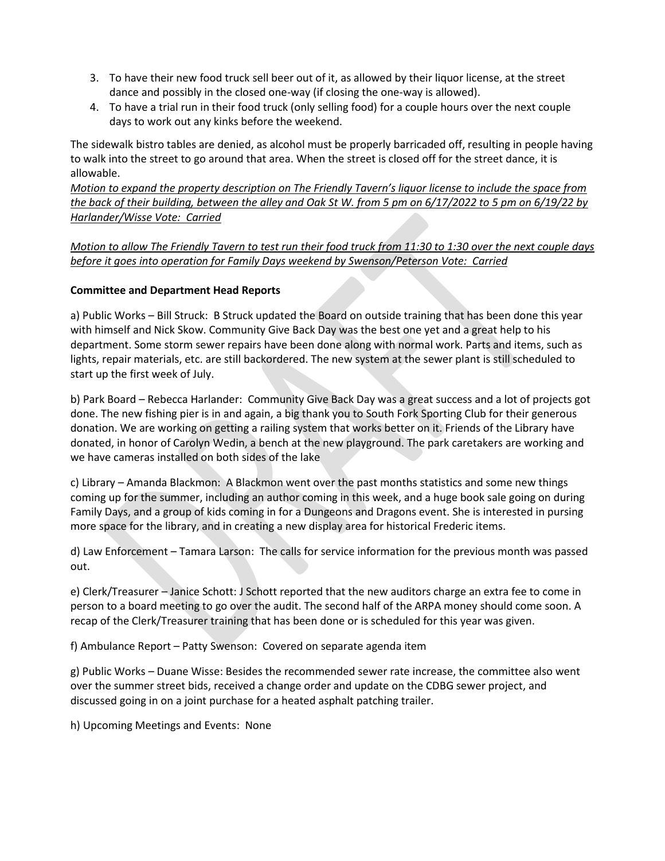- 3. To have their new food truck sell beer out of it, as allowed by their liquor license, at the street dance and possibly in the closed one-way (if closing the one-way is allowed).
- 4. To have a trial run in their food truck (only selling food) for a couple hours over the next couple days to work out any kinks before the weekend.

The sidewalk bistro tables are denied, as alcohol must be properly barricaded off, resulting in people having to walk into the street to go around that area. When the street is closed off for the street dance, it is allowable.

*Motion to expand the property description on The Friendly Tavern's liquor license to include the space from the back of their building, between the alley and Oak St W. from 5 pm on 6/17/2022 to 5 pm on 6/19/22 by Harlander/Wisse Vote: Carried*

*Motion to allow The Friendly Tavern to test run their food truck from 11:30 to 1:30 over the next couple days before it goes into operation for Family Days weekend by Swenson/Peterson Vote: Carried*

## **Committee and Department Head Reports**

a) Public Works – Bill Struck: B Struck updated the Board on outside training that has been done this year with himself and Nick Skow. Community Give Back Day was the best one yet and a great help to his department. Some storm sewer repairs have been done along with normal work. Parts and items, such as lights, repair materials, etc. are still backordered. The new system at the sewer plant is still scheduled to start up the first week of July.

b) Park Board – Rebecca Harlander: Community Give Back Day was a great success and a lot of projects got done. The new fishing pier is in and again, a big thank you to South Fork Sporting Club for their generous donation. We are working on getting a railing system that works better on it. Friends of the Library have donated, in honor of Carolyn Wedin, a bench at the new playground. The park caretakers are working and we have cameras installed on both sides of the lake

c) Library – Amanda Blackmon: A Blackmon went over the past months statistics and some new things coming up for the summer, including an author coming in this week, and a huge book sale going on during Family Days, and a group of kids coming in for a Dungeons and Dragons event. She is interested in pursing more space for the library, and in creating a new display area for historical Frederic items.

d) Law Enforcement – Tamara Larson: The calls for service information for the previous month was passed out.

e) Clerk/Treasurer – Janice Schott: J Schott reported that the new auditors charge an extra fee to come in person to a board meeting to go over the audit. The second half of the ARPA money should come soon. A recap of the Clerk/Treasurer training that has been done or is scheduled for this year was given.

f) Ambulance Report – Patty Swenson: Covered on separate agenda item

g) Public Works – Duane Wisse: Besides the recommended sewer rate increase, the committee also went over the summer street bids, received a change order and update on the CDBG sewer project, and discussed going in on a joint purchase for a heated asphalt patching trailer.

h) Upcoming Meetings and Events: None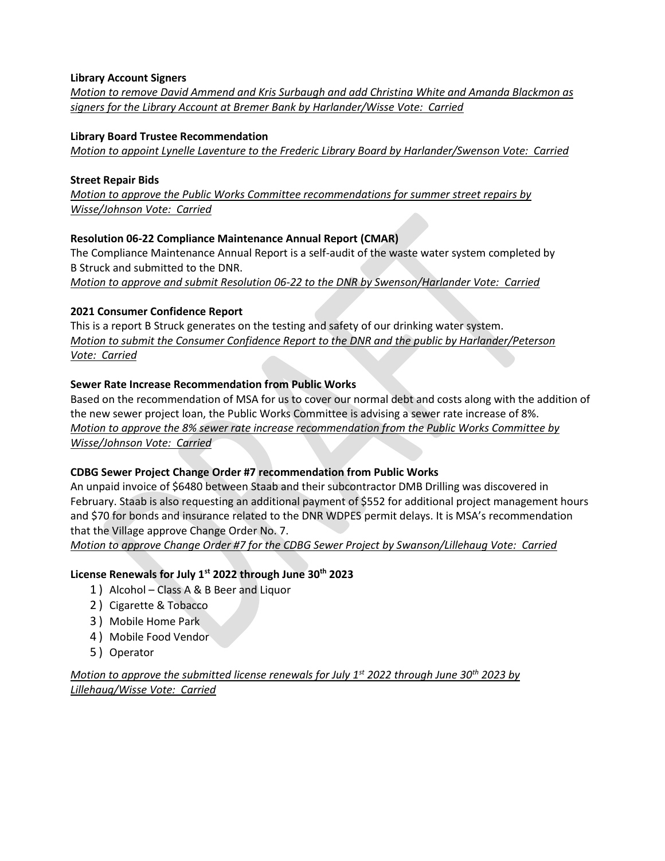## **Library Account Signers**

*Motion to remove David Ammend and Kris Surbaugh and add Christina White and Amanda Blackmon as signers for the Library Account at Bremer Bank by Harlander/Wisse Vote: Carried*

#### **Library Board Trustee Recommendation**

*Motion to appoint Lynelle Laventure to the Frederic Library Board by Harlander/Swenson Vote: Carried*

#### **Street Repair Bids**

*Motion to approve the Public Works Committee recommendations for summer street repairs by Wisse/Johnson Vote: Carried*

## **Resolution 06-22 Compliance Maintenance Annual Report (CMAR)**

The Compliance Maintenance Annual Report is a self-audit of the waste water system completed by B Struck and submitted to the DNR.

*Motion to approve and submit Resolution 06-22 to the DNR by Swenson/Harlander Vote: Carried*

## **2021 Consumer Confidence Report**

This is a report B Struck generates on the testing and safety of our drinking water system. *Motion to submit the Consumer Confidence Report to the DNR and the public by Harlander/Peterson Vote: Carried*

## **Sewer Rate Increase Recommendation from Public Works**

Based on the recommendation of MSA for us to cover our normal debt and costs along with the addition of the new sewer project loan, the Public Works Committee is advising a sewer rate increase of 8%. *Motion to approve the 8% sewer rate increase recommendation from the Public Works Committee by Wisse/Johnson Vote: Carried*

# **CDBG Sewer Project Change Order #7 recommendation from Public Works**

An unpaid invoice of \$6480 between Staab and their subcontractor DMB Drilling was discovered in February. Staab is also requesting an additional payment of \$552 for additional project management hours and \$70 for bonds and insurance related to the DNR WDPES permit delays. It is MSA's recommendation that the Village approve Change Order No. 7.

*Motion to approve Change Order #7 for the CDBG Sewer Project by Swanson/Lillehaug Vote: Carried*

# **License Renewals for July 1st 2022 through June 30th 2023**

- 1 ) Alcohol Class A & B Beer and Liquor
- 2 ) Cigarette & Tobacco
- 3 ) Mobile Home Park
- 4 ) Mobile Food Vendor
- 5 ) Operator

*Motion to approve the submitted license renewals for July 1st 2022 through June 30th 2023 by Lillehaug/Wisse Vote: Carried*